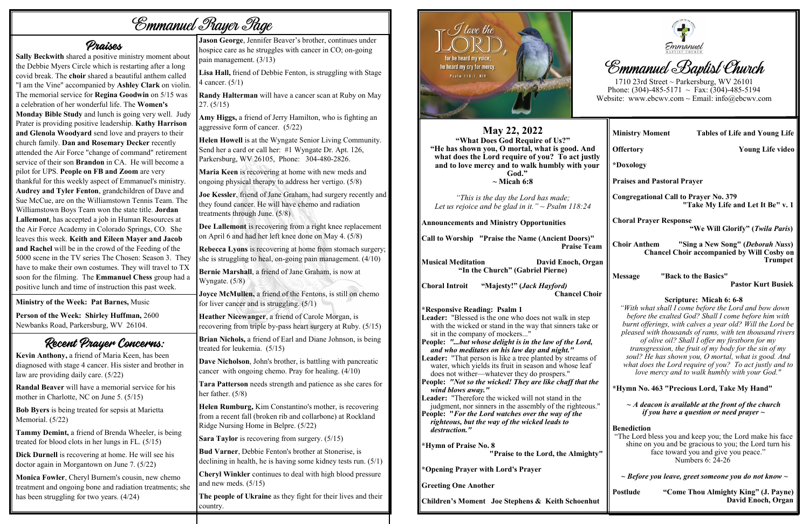# *Emmanuel Prayer Page*

#### Praises

**Sally Beckwith** shared a positive ministry moment about the Debbie Myers Circle which is restarting after a long covid break. The **choir** shared a beautiful anthem called "I am the Vine" accompanied by **Ashley Clark** on violin. The memorial service for **Regina Goodwin** on 5/15 was a celebration of her wonderful life. The **Women's Monday Bible Study** and lunch is going very well. Judy Prater is providing positive leadership. **Kathy Harrison and Glenola Woodyard** send love and prayers to their church family. **Dan and Rosemary Decker** recently attended the Air Force "change of command" retirement service of their son **Brandon** in CA. He will become a pilot for UPS. **People on FB and Zoom** are very thankful for this weekly aspect of Emmanuel's ministry. **Audrey and Tyler Fenton**, grandchildren of Dave and Sue McCue, are on the Williamstown Tennis Team. The Williamstown Boys Team won the state title. **Jordan Lallemont**, has accepted a job in Human Resources at the Air Force Academy in Colorado Springs, CO. She leaves this week. **Keith and Eileen Mayer and Jacob and Rachel** will be in the crowd of the Feeding of the 5000 scene in the TV series The Chosen: Season 3. They have to make their own costumes. They will travel to TX soon for the filming. The **Emmanuel Chess** group had a positive lunch and time of instruction this past week.

**Call to Worship "Praise the Name (Ancient Doors)" Praise Tea** 

**Musical Meditation** David Enoch, Org **"In the Church" (Gabriel Pierne)**

**Choral Introit "Majesty!" (***Jack Hayford)* **Chancel Cho** 

**Ministry of the Week: Pat Barnes,** Music

**Person of the Week: Shirley Huffman,** 2600 Newbanks Road, Parkersburg, WV 26104.

## Recent Prayer Concerns:

**Kevin Anthony,** a friend of Maria Keen, has been diagnosed with stage 4 cancer. His sister and brother in law are providing daily care. (5/22)

Leader: "That person is like a tree planted by streams of water, which yields its fruit in season and whose leaf does not wither—whatever they do prospers."

**Leader:** "Therefore the wicked will not stand in the judgment, nor sinners in the assembly of the righteous.

**Randal Beaver** will have a memorial service for his mother in Charlotte, NC on June 5. (5/15)

**Bob Byers** is being treated for sepsis at Marietta Memorial. (5/22)

**Tammy Demint,** a friend of Brenda Wheeler, is being treated for blood clots in her lungs in FL. (5/15)

**Dick Durnell** is recovering at home. He will see his doctor again in Morgantown on June 7. (5/22)

**Monica Fowler**, Cheryl Burnem's cousin, new chemo treatment and ongoing bone and radiation treatments; she has been struggling for two years. (4/24)

#### **May 22, 2022**

**"What Does God Require of Us?" "He has shown you, O mortal, what is good. And what does the Lord require of you? To act just** and to love mercy and to walk humbly with you **God." ~ Micah 6:8** 

*"This is the day the Lord has made; Let us rejoice and be glad in it." ~ Psalm 118:24* 

**Announcements and Ministry Opportunities**

**\*Responsive Reading: Psalm 1 Leader:** "Blessed is the one who does not walk in step with the wicked or stand in the way that sinners take or sit in the company of mockers..."

1710 23rd Street ~ Parkersburg, WV 26101 Phone: (304)-485-5171  $\sim$  Fax: (304)-485-5194 Website: www.ebcwv.com ~ Email: info@ebcwv.com

**People:** *"...but whose delight is in the law of the Lord, and who meditates on his law day and night."* 

**People:** *"Not so the wicked! They are like chaff that the wind blows away."* 

**People: "***For the Lord watches over the way of the righteous, but the way of the wicked leads to destruction."* 

**\*Hymn of Praise No. 8**

**"Praise to the Lord, the Almight** 

**\*Opening Prayer with Lord's Prayer**

**Greeting One Another**

**Children's Moment Joe Stephens & Keith Schoenhuth** 



# **Emmanuel Baptist Church**

**Jason George**, Jennifer Beaver's brother, continues under hospice care as he struggles with cancer in CO; on-going pain management. (3/13)

**Lisa Hall,** friend of Debbie Fenton, is struggling with Stage 4 cancer. (5/1)

**Randy Halterman** will have a cancer scan at Ruby on May 27. (5/15)

**Amy Higgs,** a friend of Jerry Hamilton, who is fighting an aggressive form of cancer. (5/22)

**Helen Howell** is at the Wyngate Senior Living Community. Send her a card or call her: #1 Wyngate Dr. Apt. 126, Parkersburg, WV 26105, Phone: 304-480-2826.

**Maria Keen** is recovering at home with new meds and ongoing physical therapy to address her vertigo. (5/8)

**Joe Kessler**, friend of Jane Graham, had surgery recently and they found cancer. He will have chemo and radiation treatments through June. (5/8)

**Dee Lallemont** is recovering from a right knee replacement on April 6 and had her left knee done on May 4. (5/8)

**Rebecca Lyons** is recovering at home from stomach surgery; she is struggling to heal, on-going pain management. (4/10)

**Bernie Marshall**, a friend of Jane Graham, is now at Wyngate. (5/8)

**Joyce McMullen,** a friend of the Fentons, is still on chemo for liver cancer and is struggling. (5/1)

**Heather Nicewanger**, a friend of Carole Morgan, is recovering from triple by-pass heart surgery at Ruby. (5/15)

**Brian Nichols,** a friend of Earl and Diane Johnson, is being treated for leukemia. (5/15)

**Dave Nicholson**, John's brother, is battling with pancreatic cancer with ongoing chemo. Pray for healing. (4/10)

**Tara Patterson** needs strength and patience as she cares for her father. (5/8)

**Helen Rumburg,** Kim Constantino's mother, is recovering from a recent fall (broken rib and collarbone) at Rockland Ridge Nursing Home in Belpre. (5/22)

**Sara Taylor** is recovering from surgery. (5/15)

**Bud Varner**, Debbie Fenton's brother at Stonerise, is declining in health, he is having some kidney tests run. (5/1)

**Cheryl Winkler** continues to deal with high blood pressure and new meds. (5/15)

**The people of Ukraine** as they fight for their lives and their country.



|                             | <b>Ministry Moment</b><br><b>Tables of Life and Young Life</b>                                                                                                                                                                                                                                                                                                                                                                                                                                                                                  |  |  |  |
|-----------------------------|-------------------------------------------------------------------------------------------------------------------------------------------------------------------------------------------------------------------------------------------------------------------------------------------------------------------------------------------------------------------------------------------------------------------------------------------------------------------------------------------------------------------------------------------------|--|--|--|
|                             | <b>Offertory</b><br><b>Young Life video</b>                                                                                                                                                                                                                                                                                                                                                                                                                                                                                                     |  |  |  |
| ly<br>ır                    | *Doxology                                                                                                                                                                                                                                                                                                                                                                                                                                                                                                                                       |  |  |  |
|                             | <b>Praises and Pastoral Prayer</b>                                                                                                                                                                                                                                                                                                                                                                                                                                                                                                              |  |  |  |
|                             | <b>Congregational Call to Prayer No. 379</b><br>"Take My Life and Let It Be" v. 1                                                                                                                                                                                                                                                                                                                                                                                                                                                               |  |  |  |
|                             | <b>Choral Prayer Response</b><br>"We Will Glorify" (Twila Paris)                                                                                                                                                                                                                                                                                                                                                                                                                                                                                |  |  |  |
| ım<br>an                    | "Sing a New Song" (Deborah Nuss)<br><b>Choir Anthem</b><br><b>Chancel Choir accompanied by Will Cosby on</b><br><b>Trumpet</b>                                                                                                                                                                                                                                                                                                                                                                                                                  |  |  |  |
|                             | "Back to the Basics"<br><b>Message</b>                                                                                                                                                                                                                                                                                                                                                                                                                                                                                                          |  |  |  |
|                             | <b>Pastor Kurt Busiek</b>                                                                                                                                                                                                                                                                                                                                                                                                                                                                                                                       |  |  |  |
| oir<br>οr<br>f              | Scripture: Micah 6: 6-8<br>"With what shall I come before the Lord and bow down<br>before the exalted God? Shall I come before him with<br>burnt offerings, with calves a year old? Will the Lord be<br>pleased with thousands of rams, with ten thousand rivers<br>of olive oil? Shall I offer my firstborn for my<br>transgression, the fruit of my body for the sin of my<br>soul? He has shown you, O mortal, what is good. And<br>what does the Lord require of you? To act justly and to<br>love mercy and to walk humbly with your God." |  |  |  |
| ıe                          | *Hymn No. 463 "Precious Lord, Take My Hand"                                                                                                                                                                                                                                                                                                                                                                                                                                                                                                     |  |  |  |
| $\mathbf{S}^{\mathbf{H}}$   | $\sim$ A deacon is available at the front of the church<br>if you have a question or need prayer $\sim$                                                                                                                                                                                                                                                                                                                                                                                                                                         |  |  |  |
| $\mathbf{y}^{\prime\prime}$ | <b>Benediction</b><br>"The Lord bless you and keep you; the Lord make his face<br>shine on you and be gracious to you; the Lord turn his<br>face toward you and give you peace."<br>Numbers 6: 24-26                                                                                                                                                                                                                                                                                                                                            |  |  |  |
|                             | $\sim$ Before you leave, greet someone you do not know $\sim$                                                                                                                                                                                                                                                                                                                                                                                                                                                                                   |  |  |  |
| ut                          | <b>Postlude</b><br>"Come Thou Almighty King" (J. Payne)<br>David Enoch, Organ                                                                                                                                                                                                                                                                                                                                                                                                                                                                   |  |  |  |